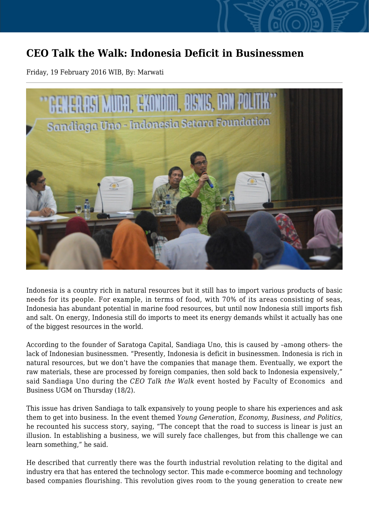## **CEO Talk the Walk: Indonesia Deficit in Businessmen**

Friday, 19 February 2016 WIB, By: Marwati



Indonesia is a country rich in natural resources but it still has to import various products of basic needs for its people. For example, in terms of food, with 70% of its areas consisting of seas, Indonesia has abundant potential in marine food resources, but until now Indonesia still imports fish and salt. On energy, Indonesia still do imports to meet its energy demands whilst it actually has one of the biggest resources in the world.

According to the founder of Saratoga Capital, Sandiaga Uno, this is caused by –among others- the lack of Indonesian businessmen. "Presently, Indonesia is deficit in businessmen. Indonesia is rich in natural resources, but we don't have the companies that manage them. Eventually, we export the raw materials, these are processed by foreign companies, then sold back to Indonesia expensively," said Sandiaga Uno during the *CEO Talk the Walk* event hosted by Faculty of Economics and Business UGM on Thursday (18/2).

This issue has driven Sandiaga to talk expansively to young people to share his experiences and ask them to get into business. In the event themed *Young Generation, Economy, Business, and Politics,* he recounted his success story, saying, "The concept that the road to success is linear is just an illusion. In establishing a business, we will surely face challenges, but from this challenge we can learn something," he said.

He described that currently there was the fourth industrial revolution relating to the digital and industry era that has entered the technology sector. This made e-commerce booming and technology based companies flourishing. This revolution gives room to the young generation to create new